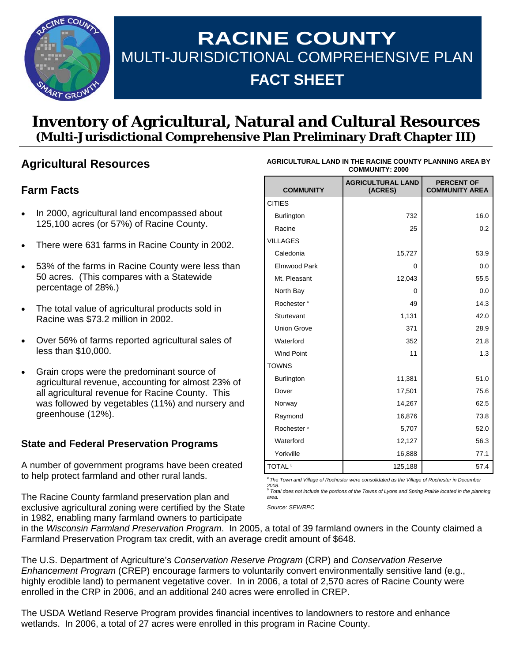

# **RACINE COUNTY**  MULTI-JURISDICTIONAL COMPREHENSIVE PLAN **FACT SHEET**

## **Inventory of Agricultural, Natural and Cultural Resources (Multi-Jurisdictional Comprehensive Plan Preliminary Draft Chapter III)**

### **Agricultural Resources**

### **Farm Facts**

- In 2000, agricultural land encompassed about 125,100 acres (or 57%) of Racine County.
- There were 631 farms in Racine County in 2002.
- 53% of the farms in Racine County were less than 50 acres. (This compares with a Statewide percentage of 28%.)
- The total value of agricultural products sold in Racine was \$73.2 million in 2002.
- Over 56% of farms reported agricultural sales of less than \$10,000.
- Grain crops were the predominant source of agricultural revenue, accounting for almost 23% of all agricultural revenue for Racine County. This was followed by vegetables (11%) and nursery and greenhouse (12%).

### **State and Federal Preservation Programs**

A number of government programs have been created to help protect farmland and other rural lands.

The Racine County farmland preservation plan and exclusive agricultural zoning were certified by the State in 1982, enabling many farmland owners to participate

| <b>COMMUNITY</b>          | <b>AGRICULTURAL LAND</b><br>(ACRES) | <b>PERCENT OF</b><br><b>COMMUNITY AREA</b> |
|---------------------------|-------------------------------------|--------------------------------------------|
| <b>CITIES</b>             |                                     |                                            |
| <b>Burlington</b>         | 732                                 | 16.0                                       |
| Racine                    | 25                                  | 0.2                                        |
| <b>VILLAGES</b>           |                                     |                                            |
| Caledonia                 | 15,727                              | 53.9                                       |
| <b>Elmwood Park</b>       | 0                                   | 0.0                                        |
| Mt. Pleasant              | 12,043                              | 55.5                                       |
| North Bay                 | 0                                   | 0.0                                        |
| Rochester <sup>a</sup>    | 49                                  | 14.3                                       |
| Sturtevant                | 1,131                               | 42.0                                       |
| <b>Union Grove</b>        | 371                                 | 28.9                                       |
| Waterford                 | 352                                 | 21.8                                       |
| <b>Wind Point</b>         | 11                                  | 1.3                                        |
| <b>TOWNS</b>              |                                     |                                            |
| <b>Burlington</b>         | 11,381                              | 51.0                                       |
| Dover                     | 17,501                              | 75.6                                       |
| Norway                    | 14,267                              | 62.5                                       |
| Raymond                   | 16,876                              | 73.8                                       |
| Rochester <sup>a</sup>    | 5,707                               | 52.0                                       |
| Waterford                 | 12,127                              | 56.3                                       |
| Yorkville                 | 16,888                              | 77.1                                       |
| <b>TOTAL</b> <sup>b</sup> | 125,188                             | 57.4                                       |

**AGRICULTURAL LAND IN THE RACINE COUNTY PLANNING AREA BY COMMUNITY: 2000** 

*a The Town and Village of Rochester were consolidated as the Village of Rochester in December 2008.*

*b* Total does not include the portions of the Towns of Lyons and Spring Prairie located in the planning *area.* 

*Source: SEWRPC* 

in the *Wisconsin Farmland Preservation Program*. In 2005, a total of 39 farmland owners in the County claimed a Farmland Preservation Program tax credit, with an average credit amount of \$648.

The U.S. Department of Agriculture's *Conservation Reserve Program* (CRP) and *Conservation Reserve Enhancement Program* (CREP) encourage farmers to voluntarily convert environmentally sensitive land (e.g., highly erodible land) to permanent vegetative cover. In in 2006, a total of 2,570 acres of Racine County were enrolled in the CRP in 2006, and an additional 240 acres were enrolled in CREP.

The USDA Wetland Reserve Program provides financial incentives to landowners to restore and enhance wetlands. In 2006, a total of 27 acres were enrolled in this program in Racine County.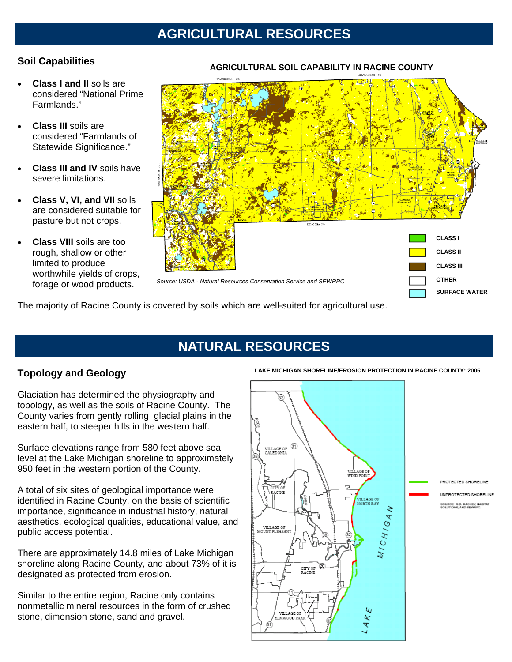## **AGRICULTURAL RESOURCES**

#### **Soil Capabilities**

- **Class I and II** soils are considered "National Prime Farmlands."
- **Class III** soils are considered "Farmlands of Statewide Significance."
- **Class III and IV** soils have severe limitations.
- **Class V, VI, and VII** soils are considered suitable for pasture but not crops.
- **Class VIII** soils are too rough, shallow or other limited to produce worthwhile yields of crops, forage or wood products.

#### **AGRICULTURAL SOIL CAPABILITY IN RACINE COUNTY**



The majority of Racine County is covered by soils which are well-suited for agricultural use.

## **NATURAL RESOURCES**

#### **Topology and Geology**

Glaciation has determined the physiography and topology, as well as the soils of Racine County. The County varies from gently rolling glacial plains in the eastern half, to steeper hills in the western half.

Surface elevations range from 580 feet above sea level at the Lake Michigan shoreline to approximately 950 feet in the western portion of the County.

A total of six sites of geological importance were identified in Racine County, on the basis of scientific importance, significance in industrial history, natural aesthetics, ecological qualities, educational value, and public access potential.

There are approximately 14.8 miles of Lake Michigan shoreline along Racine County, and about 73% of it is designated as protected from erosion.

Similar to the entire region, Racine only contains nonmetallic mineral resources in the form of crushed stone, dimension stone, sand and gravel.





PROTECTED SHORELINE UNPROTECTED SHORELINE SOURCE S.D. MACKEY, HABITAT<br>SOLUTIONS, AND SEWRPC.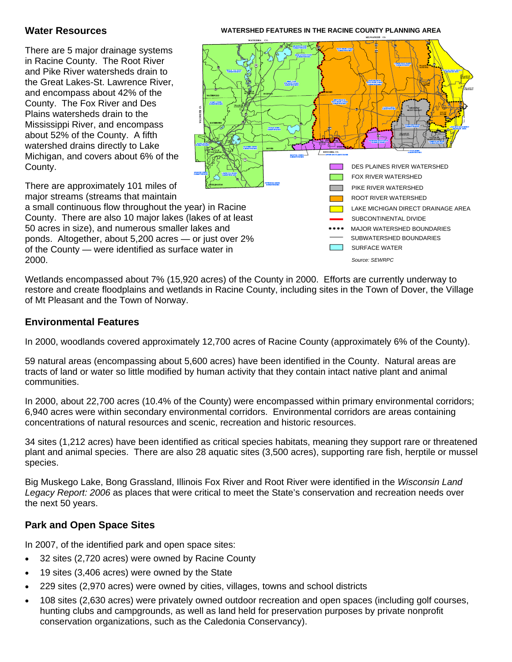#### **Water Resources**

There are 5 major drainage systems in Racine County. The Root River and Pike River watersheds drain to the Great Lakes-St. Lawrence River, and encompass about 42% of the County. The Fox River and Des Plains watersheds drain to the Mississippi River, and encompass about 52% of the County. A fifth watershed drains directly to Lake Michigan, and covers about 6% of the County.

**WATERSHED FEATURES IN THE RACINE COUNTY PLANNING AREA** 



There are approximately 101 miles of major streams (streams that maintain

a small continuous flow throughout the year) in Racine County. There are also 10 major lakes (lakes of at least 50 acres in size), and numerous smaller lakes and ponds. Altogether, about 5,200 acres — or just over 2% of the County — were identified as surface water in 2000.

Wetlands encompassed about 7% (15,920 acres) of the County in 2000. Efforts are currently underway to restore and create floodplains and wetlands in Racine County, including sites in the Town of Dover, the Village of Mt Pleasant and the Town of Norway.

#### **Environmental Features**

In 2000, woodlands covered approximately 12,700 acres of Racine County (approximately 6% of the County).

59 natural areas (encompassing about 5,600 acres) have been identified in the County. Natural areas are tracts of land or water so little modified by human activity that they contain intact native plant and animal communities.

In 2000, about 22,700 acres (10.4% of the County) were encompassed within primary environmental corridors; 6,940 acres were within secondary environmental corridors. Environmental corridors are areas containing concentrations of natural resources and scenic, recreation and historic resources.

34 sites (1,212 acres) have been identified as critical species habitats, meaning they support rare or threatened plant and animal species. There are also 28 aquatic sites (3,500 acres), supporting rare fish, herptile or mussel species.

Big Muskego Lake, Bong Grassland, Illinois Fox River and Root River were identified in the *Wisconsin Land Legacy Report: 2006* as places that were critical to meet the State's conservation and recreation needs over the next 50 years.

#### **Park and Open Space Sites**

In 2007, of the identified park and open space sites:

- 32 sites (2,720 acres) were owned by Racine County
- 19 sites (3,406 acres) were owned by the State
- 229 sites (2,970 acres) were owned by cities, villages, towns and school districts
- 108 sites (2,630 acres) were privately owned outdoor recreation and open spaces (including golf courses, hunting clubs and campgrounds, as well as land held for preservation purposes by private nonprofit conservation organizations, such as the Caledonia Conservancy).